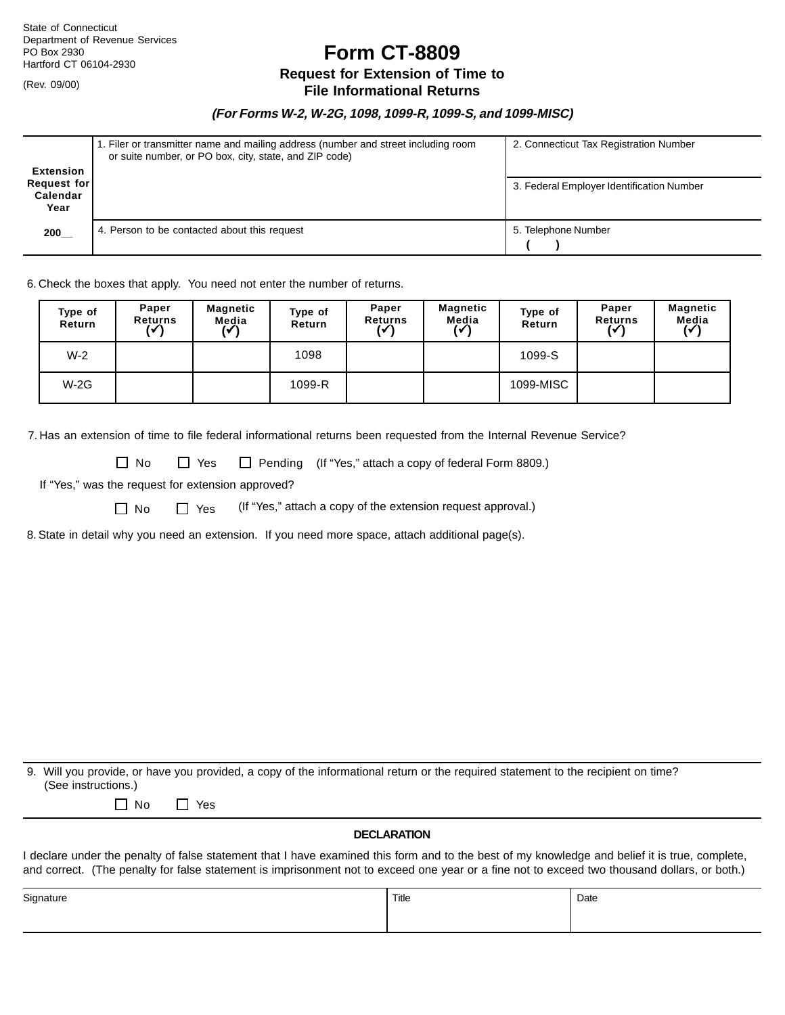(Rev. 09/00)

**Form CT-8809**

# **Request for Extension of Time to**

### **File Informational Returns**

### **(For Forms W-2, W-2G, 1098, 1099-R, 1099-S, and 1099-MISC)**

| <b>Extension</b><br>Request for<br>Calendar<br>Year | 1. Filer or transmitter name and mailing address (number and street including room<br>or suite number, or PO box, city, state, and ZIP code) | 2. Connecticut Tax Registration Number<br>3. Federal Employer Identification Number |
|-----------------------------------------------------|----------------------------------------------------------------------------------------------------------------------------------------------|-------------------------------------------------------------------------------------|
| 200                                                 | 4. Person to be contacted about this request                                                                                                 | 5. Telephone Number                                                                 |

6. Check the boxes that apply. You need not enter the number of returns.

| Type of<br><b>Return</b> | Paper<br><b>Returns</b><br>(✓ | Magnetic<br>Media | Type of<br><b>Return</b> | Paper<br><b>Returns</b><br>ιν | Magnetic<br>Media | Type of<br>Return | Paper<br><b>Returns</b><br>(✓ | Magnetic<br>Media<br>(V |
|--------------------------|-------------------------------|-------------------|--------------------------|-------------------------------|-------------------|-------------------|-------------------------------|-------------------------|
| $W-2$                    |                               |                   | 1098                     |                               |                   | 1099-S            |                               |                         |
| $W-2G$                   |                               |                   | 1099-R                   |                               |                   | 1099-MISC         |                               |                         |

7. Has an extension of time to file federal informational returns been requested from the Internal Revenue Service?

□ No □ Yes □ Pending (If "Yes," attach a copy of federal Form 8809.)

If "Yes," was the request for extension approved?

 $\Box$  No  $\Box$  Yes (If "Yes," attach a copy of the extension request approval.)

8. State in detail why you need an extension. If you need more space, attach additional page(s).

9. Will you provide, or have you provided, a copy of the informational return or the required statement to the recipient on time? (See instructions.)

No Yes

#### **DECLARATION**

I declare under the penalty of false statement that I have examined this form and to the best of my knowledge and belief it is true, complete, and correct. (The penalty for false statement is imprisonment not to exceed one year or a fine not to exceed two thousand dollars, or both.)

| Signature | Title | Date |
|-----------|-------|------|
|           |       |      |